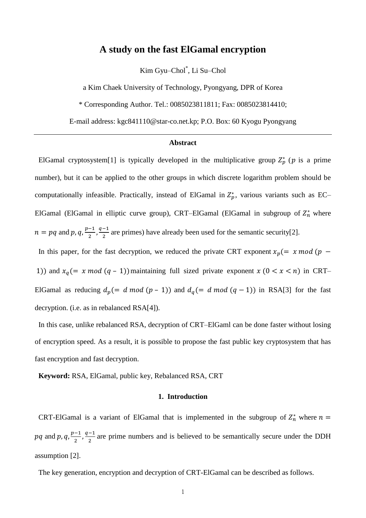# **A study on the fast ElGamal encryption**

Kim Gyu–Chol\* , Li Su–Chol

a Kim Chaek University of Technology, Pyongyang, DPR of Korea

\* Corresponding Author. Tel.: 0085023811811; Fax: 0085023814410;

E-mail address: kgc841110@star-co.net.kp; P.O. Box: 60 Kyogu Pyongyang

#### **Abstract**

ElGamal cryptosystem[1] is typically developed in the multiplicative group  $Z_p^*$  (p is a prime number), but it can be applied to the other groups in which discrete logarithm problem should be computationally infeasible. Practically, instead of ElGamal in  $Z_p^*$ , various variants such as EC-ElGamal (ElGamal in elliptic curve group), CRT-ElGamal (ElGamal in subgroup of  $Z_n^*$  where  $n = pq$  and  $p, q, \frac{p}{q}$  $\frac{-1}{2}$ ,  $\frac{q}{2}$  $\frac{1}{2}$  are primes) have already been used for the semantic security[2].

In this paper, for the fast decryption, we reduced the private CRT exponent  $x_p (= x \mod (p -$ 1)) and  $x_q (= x \mod (q-1))$  maintaining full sized private exponent  $x (0 < x < n)$  in CRT– ElGamal as reducing  $d_p (= d \mod (p-1))$  and  $d_q (= d \mod (q-1))$  in RSA[3] for the fast decryption. (i.e. as in rebalanced RSA[4]).

In this case, unlike rebalanced RSA, decryption of CRT–ElGaml can be done faster without losing of encryption speed. As a result, it is possible to propose the fast public key cryptosystem that has fast encryption and fast decryption.

**Keyword:** RSA, ElGamal, public key, Rebalanced RSA, CRT

### **1. Introduction**

CRT-ElGamal is a variant of ElGamal that is implemented in the subgroup of  $Z_n^*$  where  $pq$  and  $p$ ,  $q$ ,  $\frac{p}{q}$  $\frac{-1}{2}$ ,  $\frac{q}{2}$  $\frac{1}{2}$  are prime numbers and is believed to be semantically secure under the DDH assumption [2].

The key generation, encryption and decryption of CRT-ElGamal can be described as follows.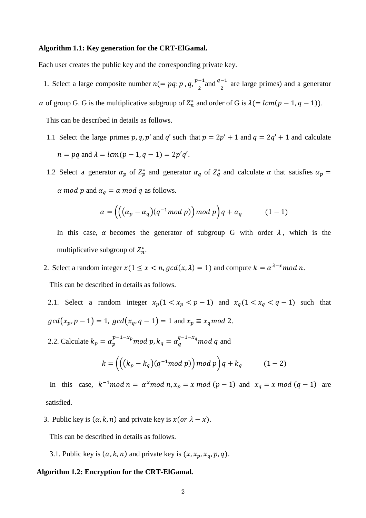### **Algorithm 1.1: Key generation for the CRT-ElGamal.**

Each user creates the public key and the corresponding private key.

1. Select a large composite number  $n (= pq:p, q, \frac{p}{q})$  $\frac{-1}{2}$  and  $\frac{q-1}{2}$  are large primes) and a generator

 $\alpha$  of group G. G is the multiplicative subgroup of  $Z_n^*$  and order of G is  $\lambda (= lcm(p-1, q-1)).$ 

This can be described in details as follows.

- 1.1 Select the large primes p, q, p' and q' such that  $p = 2p' + 1$  and  $q = 2q' + 1$  and calculate  $n = pq$  and  $\lambda = lcm(p-1, q-1) = 2p'q'.$
- 1.2 Select a generator  $\alpha_p$  of  $Z_p^*$  and generator  $\alpha_q$  of  $Z_q^*$  and calculate  $\alpha$  that satisfies  $\alpha$  mod p and  $\alpha_q = \alpha$  mod q as follows.

$$
\alpha = \left( \left( (\alpha_p - \alpha_q)(q^{-1} \mod p) \right) \mod p \right) q + \alpha_q \tag{1-1}
$$

In this case,  $\alpha$  becomes the generator of subgroup G with order  $\lambda$ , which is the multiplicative subgroup of  $Z_n^*$ .

2. Select a random integer  $x(1 \le x < n, gcd(x, \lambda) = 1)$  and compute  $k = \alpha^{\lambda-x} mod n$ . This can be described in details as follows.

\n- 2.1. Select a random integer 
$$
x_p(1 < x_p < p - 1)
$$
 and  $x_q(1 < x_q < q - 1)$  such that  $gcd(x_p, p - 1) = 1$ ,  $gcd(x_q, q - 1) = 1$  and  $x_p \equiv x_q \mod 2$ .
\n- 2.2. Calculate  $k_p = \alpha_p^{p-1-x_p} \mod p$ ,  $k_q = \alpha_q^{q-1-x_q} \mod q$  and  $k = \left( \left( (k_p - k_q)(q^{-1} \mod p) \right) \mod p \right) q + k_q$  (1 - 2).
\n- In this case,  $k^{-1} \mod n = \alpha^x \mod n$ ,  $x = x \mod (n - 1)$  and  $x = x \mod (n - 1)$  are
\n

In this case,  $k^{-1} \mod n = \alpha^x \mod n$ ,  $x_p = x \mod (p-1)$  and  $x_q = x \mod (q-1)$  are satisfied.

3. Public key is  $(\alpha, k, n)$  and private key is  $x (or \lambda - x)$ .

This can be described in details as follows.

3.1. Public key is  $(\alpha, k, n)$  and private key is  $(x, x_p, x_q, p, q)$ .

### **Algorithm 1.2: Encryption for the CRT-ElGamal.**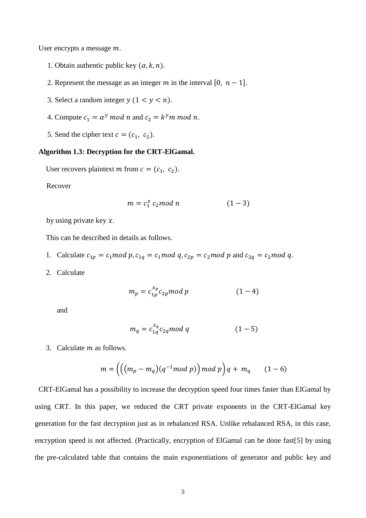User encrypts a message  $m$ .

- 1. Obtain authentic public key  $(\alpha, k, n)$ .
- 2. Represent the message as an integer  $m$  in the interval [0,  $n 1$ ].
- 3. Select a random integer  $y$   $(1 < y < n)$ .
- 4. Compute  $c_1 = \alpha^y \mod n$  and  $c_2 = k^y m \mod n$ .
- 5. Send the cipher text  $c = (c_1, c_2)$ .

### **Algorithm 1.3: Decryption for the CRT-ElGamal.**

User recovers plaintext *m* from  $c = (c_1, c_2)$ .

Recover

$$
m = c_1^x c_2 \mod n \tag{1-3}
$$

by using private key  $x$ .

This can be described in details as follows.

- 1. Calculate  $c_{1p} = c_1 \mod p$ ,  $c_{1q} = c_1 \mod q$ ,  $c_{2p} = c_2 \mod p$  and  $c_{2q} = c_2 \mod q$ .
- 2. Calculate

$$
m_p = c_{1p}^{x_p} c_{2p} \mod p \tag{1-4}
$$

and

$$
m_q = c_{1q}^{x_q} c_{2q} \mod q \tag{1-5}
$$

3. Calculate  $m$  as follows.

$$
m = \left( \left( (m_p - m_q)(q^{-1} \mod p) \right) \mod p \right) q + m_q \qquad (1-6)
$$

CRT-ElGamal has a possibility to increase the decryption speed four times faster than ElGamal by using CRT. In this paper, we reduced the CRT private exponents in the CRT-ElGamal key generation for the fast decryption just as in rebalanced RSA. Unlike rebalanced RSA, in this case, encryption speed is not affected. (Practically, encryption of ElGamal can be done fast[5] by using the pre-calculated table that contains the main exponentiations of generator and public key and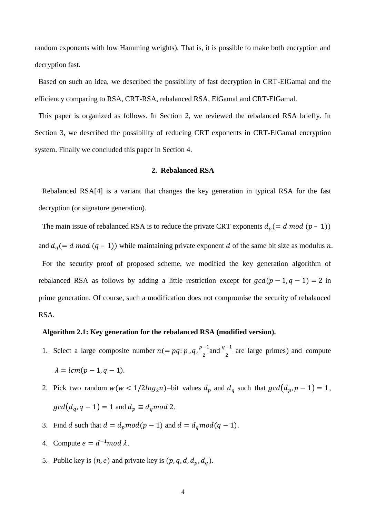random exponents with low Hamming weights). That is, it is possible to make both encryption and decryption fast.

Based on such an idea, we described the possibility of fast decryption in CRT-ElGamal and the efficiency comparing to RSA, CRT-RSA, rebalanced RSA, ElGamal and CRT-ElGamal.

This paper is organized as follows. In Section 2, we reviewed the rebalanced RSA briefly. In Section 3, we described the possibility of reducing CRT exponents in CRT-ElGamal encryption system. Finally we concluded this paper in Section 4.

#### **2. Rebalanced RSA**

Rebalanced RSA[4] is a variant that changes the key generation in typical RSA for the fast decryption (or signature generation).

The main issue of rebalanced RSA is to reduce the private CRT exponents  $d_p (= d \mod (p-1))$ and  $d_q (= d \mod (q - 1))$  while maintaining private exponent d of the same bit size as modulus n. For the security proof of proposed scheme, we modified the key generation algorithm of rebalanced RSA as follows by adding a little restriction except for  $gcd(p-1, q-1) = 2$  in prime generation. Of course, such a modification does not compromise the security of rebalanced RSA.

## **Algorithm 2.1: Key generation for the rebalanced RSA (modified version).**

- 1. Select a large composite number  $n (= pq:p, q, \frac{p}{q})$  $\frac{1}{2}$  and  $\frac{q-1}{2}$  are large primes) and compute  $\lambda = lcm(p-1, q-1).$
- 2. Pick two random  $w(w < 1/2log_2 n)$ -bit values  $d_p$  and  $d_q$  such that  $gcd(d_p, p 1) = 1$ ,  $gcd(d_q, q-1) = 1$  and  $d_p \equiv d_q \mod 2$ .
- 3. Find d such that  $d = d_p mod(p-1)$  and  $d = d_q mod(q-1)$ .
- 4. Compute  $e = d^{-1} \mod \lambda$ .
- 5. Public key is  $(n, e)$  and private key is  $(p, q, d, d_p, d_q)$ .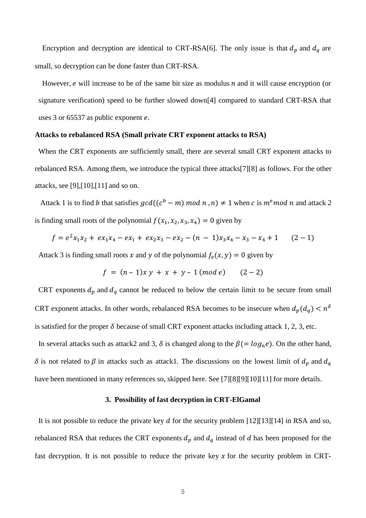Encryption and decryption are identical to CRT-RSA[6]. The only issue is that  $d_p$  and  $d_q$  are small, so decryption can be done faster than CRT-RSA.

However,  $e$  will increase to be of the same bit size as modulus  $n$  and it will cause encryption (or signature verification) speed to be further slowed down[4] compared to standard CRT-RSA that uses 3 or  $65537$  as public exponent  $e$ .

### **Attacks to rebalanced RSA (Small private CRT exponent attacks to RSA)**

When the CRT exponents are sufficiently small, there are several small CRT exponent attacks to rebalanced RSA. Among them, we introduce the typical three attacks[7][8] as follows. For the other attacks, see [9],[10],[11] and so on.

Attack 1 is to find b that satisfies  $gcd((c^b - m) \mod n, n) \neq 1$  when c is  $m^e \mod n$  and attack 2 is finding small roots of the polynomial  $f(x_1, x_2, x_3, x_4) = 0$  given by

$$
f = e^{2}x_{1}x_{2} + ex_{1}x_{4} - ex_{1} + ex_{2}x_{3} - ex_{2} - (n - 1)x_{3}x_{4} - x_{3} - x_{4} + 1 \qquad (2 - 1)
$$

Attack 3 is finding small roots x and y of the polynomial  $f_e(x, y) = 0$  given by

$$
f = (n-1)x y + x + y - 1 \pmod{e} \qquad (2-2)
$$

CRT exponents  $d_p$  and  $d_q$  cannot be reduced to below the certain limit to be secure from small CRT exponent attacks. In other words, rebalanced RSA becomes to be insecure when  $d_p(d_q) < n^{\delta}$ is satisfied for the proper  $\delta$  because of small CRT exponent attacks including attack 1, 2, 3, etc.

In several attacks such as attack2 and 3,  $\delta$  is changed along to the  $\beta (= \log_n e)$ . On the other hand,  $\delta$  is not related to  $\beta$  in attacks such as attack1. The discussions on the lowest limit of  $d_p$  and  $d_q$ have been mentioned in many references so, skipped here. See [7][8][9][10][11] for more details.

#### **3. Possibility of fast decryption in CRT-ElGamal**

It is not possible to reduce the private key d for the security problem [12][13][14] in RSA and so, rebalanced RSA that reduces the CRT exponents  $d_p$  and  $d_q$  instead of d has been proposed for the fast decryption. It is not possible to reduce the private key  $x$  for the security problem in CRT-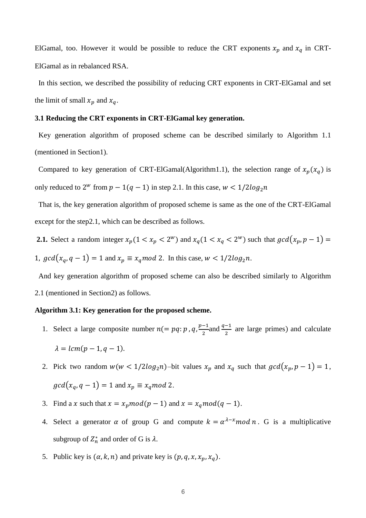ElGamal, too. However it would be possible to reduce the CRT exponents  $x_p$  and  $x_q$  in CRT-ElGamal as in rebalanced RSA.

In this section, we described the possibility of reducing CRT exponents in CRT-ElGamal and set the limit of small  $x_p$  and  $x_q$ .

### **3.1 Reducing the CRT exponents in CRT-ElGamal key generation.**

Key generation algorithm of proposed scheme can be described similarly to Algorithm 1.1 (mentioned in Section1).

Compared to key generation of CRT-ElGamal(Algorithm1.1), the selection range of  $x_p(x_q)$  is only reduced to  $2^w$  from  $p - 1(q - 1)$  in step 2.1. In this case,

That is, the key generation algorithm of proposed scheme is same as the one of the CRT-ElGamal except for the step2.1, which can be described as follows.

**2.1.** Select a random integer  $x_p(1 \lt x_p \lt 2^w)$  and  $x_q(1 \lt x_q \lt 2^w)$  such that  $gcd(x_p, p-1)$ 

1,  $gcd(x_q, q-1) = 1$  and  $x_p \equiv x_q \mod 2$ . In this case,  $w < 1/2 \log_2 n$ .

And key generation algorithm of proposed scheme can also be described similarly to Algorithm 2.1 (mentioned in Section2) as follows.

#### **Algorithm 3.1: Key generation for the proposed scheme.**

- 1. Select a large composite number  $n (= pq:p, q, \frac{p}{q})$  $\frac{1}{2}$  and  $\frac{q-1}{2}$  are large primes) and calculate  $\lambda = lcm(p-1, q-1).$
- 2. Pick two random  $w(w < 1/2log_2 n)$ -bit values  $x_p$  and  $x_q$  such that  $gcd(x_p, p 1) = 1$ ,  $gcd(x_q, q-1) = 1$  and  $x_p \equiv x_q \mod 2$ .
- 3. Find a x such that  $x = x_p mod(p 1)$  and  $x = x_q mod(q 1)$ .
- 4. Select a generator  $\alpha$  of group G and compute  $k = \alpha^{\lambda-x} \mod n$ . G is a multiplicative subgroup of  $Z_n^*$  and order of G is  $\lambda$ .
- 5. Public key is  $(\alpha, k, n)$  and private key is  $(p, q, x, x_p, x_q)$ .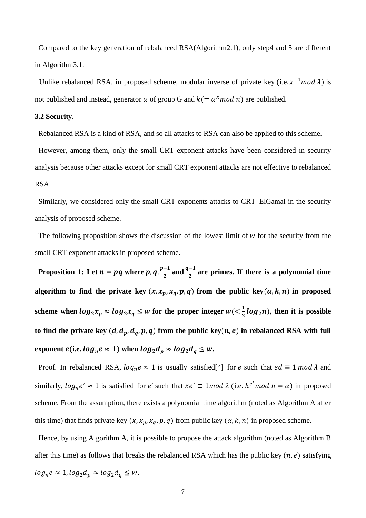Compared to the key generation of rebalanced RSA(Algorithm2.1), only step4 and 5 are different in Algorithm3.1.

Unlike rebalanced RSA, in proposed scheme, modular inverse of private key (i.e.  $x^{-1}$  mod  $\lambda$ ) is not published and instead, generator  $\alpha$  of group G and  $k (= \alpha^x mod n)$  are published.

### **3.2 Security.**

Rebalanced RSA is a kind of RSA, and so all attacks to RSA can also be applied to this scheme.

However, among them, only the small CRT exponent attacks have been considered in security analysis because other attacks except for small CRT exponent attacks are not effective to rebalanced RSA.

Similarly, we considered only the small CRT exponents attacks to CRT–ElGamal in the security analysis of proposed scheme.

The following proposition shows the discussion of the lowest limit of  $w$  for the security from the small CRT exponent attacks in proposed scheme.

**Proposition 1:** Let  $n = pq$  where  $p, q, \frac{p}{q}$  $\frac{-1}{2}$  and  $\frac{q-1}{2}$  are primes. If there is a polynomial time algorithm to find the private key  $(x, x_p, x_q, p, q)$  from the public key  $(a, k, n)$  in proposed scheme when  $log_2 x_p \approx log_2 x_q \leq w$  for the proper integer  $w \leq \frac{1}{2}$  $\frac{1}{2}$ *log*<sub>2</sub>*n*), then it is possible to find the private key  $(d, d_p, d_q, p, q)$  from the public key $(n, e)$  in rebalanced RSA with full exponent  $e$ (i.e.  $log_n e \approx 1$ ) when  $log_2 d_p \approx log_2 d_q \leq w$ .

Proof. In rebalanced RSA,  $log_n e \approx 1$  is usually satisfied[4] for e such that  $ed \equiv 1 \mod \lambda$  and similarly,  $log_n e' \approx 1$  is satisfied for e' such that  $xe' \equiv 1 \mod \lambda$  (i.e.  $k^{e'} \mod n = \alpha$ ) in proposed scheme. From the assumption, there exists a polynomial time algorithm (noted as Algorithm A after this time) that finds private key  $(x, x_p, x_q, p, q)$  from public key  $(\alpha, k, n)$  in proposed scheme.

Hence, by using Algorithm A, it is possible to propose the attack algorithm (noted as Algorithm B after this time) as follows that breaks the rebalanced RSA which has the public key  $(n, e)$  satisfying  $log_n e \approx 1, log_2 d_p \approx log_2 d_q \leq w.$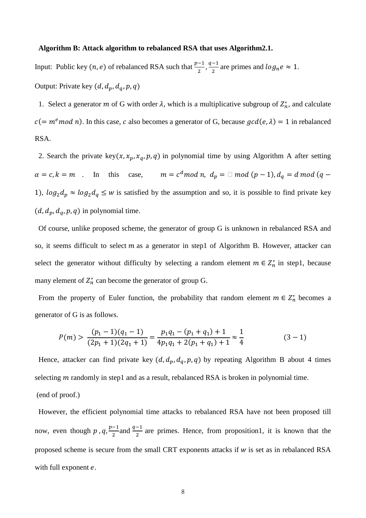#### **Algorithm B: Attack algorithm to rebalanced RSA that uses Algorithm2.1.**

Input: Public key  $(n, e)$  of rebalanced RSA such that  $\frac{p-1}{2}, \frac{q}{2}$  $\frac{1}{2}$  are primes and  $log_n e \approx 1$ . Output: Private key  $(d, d_p, d_q, p, q)$ 

1. Select a generator m of G with order  $\lambda$ , which is a multiplicative subgroup of  $Z_n^*$ , and calculate  $c (= m<sup>e</sup> mod n)$ . In this case, c also becomes a generator of G, because  $gcd(e, \lambda) = 1$  in rebalanced RSA.

2. Search the private key  $(x, x_p, x_q, p, q)$  in polynomial time by using Algorithm A after setting  $\alpha = c, k = m$  . In this case,  $m = c^d$ 1),  $\log_2 d_p \approx \log_2 d_q \leq w$  is satisfied by the assumption and so, it is possible to find private key  $(d, d_p, d_q, p, q)$  in polynomial time.

Of course, unlike proposed scheme, the generator of group G is unknown in rebalanced RSA and so, it seems difficult to select  $m$  as a generator in step1 of Algorithm B. However, attacker can select the generator without difficulty by selecting a random element  $m \in \mathbb{Z}_n^*$  in step1, because many element of  $Z_n^*$  can become the generator of group G.

From the property of Euler function, the probability that random element  $m \in \mathbb{Z}_n^*$  becomes a generator of G is as follows.

$$
P(m) > \frac{(p_1 - 1)(q_1 - 1)}{(2p_1 + 1)(2q_1 + 1)} = \frac{p_1q_1 - (p_1 + q_1) + 1}{4p_1q_1 + 2(p_1 + q_1) + 1} \approx \frac{1}{4}
$$
(3-1)

Hence, attacker can find private key  $(d, d_p, d_q, p, q)$  by repeating Algorithm B about 4 times selecting  $m$  randomly in step1 and as a result, rebalanced RSA is broken in polynomial time. (end of proof.)

However, the efficient polynomial time attacks to rebalanced RSA have not been proposed till now, even though  $p$ ,  $q, \frac{p}{q}$  $\frac{1}{2}$  and  $\frac{q-1}{2}$  are primes. Hence, from proposition1, it is known that the proposed scheme is secure from the small CRT exponents attacks if  $w$  is set as in rebalanced RSA with full exponent  $e$ .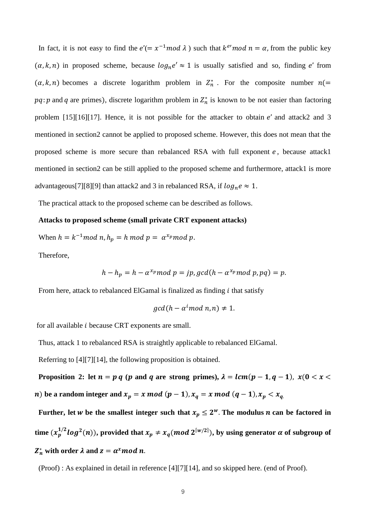In fact, it is not easy to find the  $e' = x^{-1} \mod \lambda$  such that  $k^{e'} \mod n = \alpha$ , from the public key  $(\alpha, k, n)$  in proposed scheme, because  $\log_n e' \approx 1$  is usually satisfied and so, finding e' from  $(\alpha, k, n)$  becomes a discrete logarithm problem in  $Z_n^*$ . For the composite number  $pq$ : p and q are primes), discrete logarithm problem in  $Z_n^*$  is known to be not easier than factoring problem  $[15][16][17]$ . Hence, it is not possible for the attacker to obtain e' and attack2 and 3 mentioned in section2 cannot be applied to proposed scheme. However, this does not mean that the proposed scheme is more secure than rebalanced RSA with full exponent  $e$ , because attack1 mentioned in section2 can be still applied to the proposed scheme and furthermore, attack1 is more advantageous[7][8][9] than attack2 and 3 in rebalanced RSA, if  $log_n e \approx 1$ .

The practical attack to the proposed scheme can be described as follows.

### **Attacks to proposed scheme (small private CRT exponent attacks)**

When  $h = k^{-1} \mod n$ ,  $h_p = h \mod p = \alpha^x$ 

Therefore,

$$
h - h_p = h - \alpha^{x_p} \mod p = jp, \gcd(h - \alpha^{x_p} \mod p, pq) = p.
$$

From here, attack to rebalanced ElGamal is finalized as finding  $i$  that satisfy

$$
gcd(h-\alpha^i mod n, n) \neq 1.
$$

for all available  $i$  because CRT exponents are small.

Thus, attack 1 to rebalanced RSA is straightly applicable to rebalanced ElGamal.

Referring to [4][7][14], the following proposition is obtained.

**Proposition 2:** let  $n = p q$  ( $p$  and  $q$  are strong primes),  $\lambda = lcm(p-1, q-1)$ ,  $x(0 < x <$ *n*) be a random integer and  $x_p = x \mod (p-1)$ ,  $x_q = x \mod (q-1)$ ,  $x_p < x_q$ .

Further, let w be the smallest integer such that  $x_n \leq 2^w$ . The modulus *n* can be factored in time  $(x_n^{1/2} \log^2(n))$ , provided that  $x_p \neq x_q \pmod{2^{\lfloor w/2 \rfloor}}$ , by using generator  $\alpha$  of subgroup of  $\mathbf{Z}_n^*$  with order  $\lambda$  and  $\mathbf{z} = \boldsymbol{\alpha}^x$ 

(Proof) : As explained in detail in reference [4][7][14], and so skipped here. (end of Proof).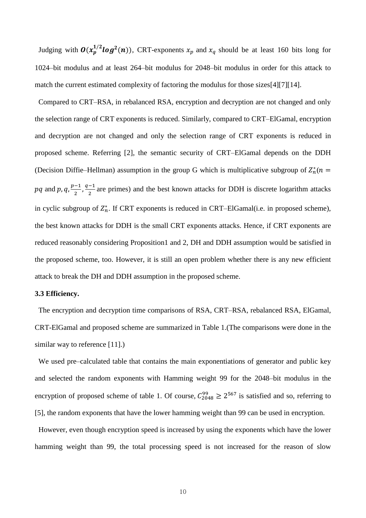Judging with  $O(x_p^{1/2} \log^2(n))$ , CRT-exponents  $x_p$  and  $x_q$  should be at least 160 bits long for 1024–bit modulus and at least 264–bit modulus for 2048–bit modulus in order for this attack to match the current estimated complexity of factoring the modulus for those sizes[4][7][14].

Compared to CRT–RSA, in rebalanced RSA, encryption and decryption are not changed and only the selection range of CRT exponents is reduced. Similarly, compared to CRT–ElGamal, encryption and decryption are not changed and only the selection range of CRT exponents is reduced in proposed scheme. Referring [2], the semantic security of CRT–ElGamal depends on the DDH (Decision Diffie–Hellman) assumption in the group G which is multiplicative subgroup of  $Z_n^*(n)$  $pq$  and  $p$ ,  $q$ ,  $\frac{p}{q}$  $\frac{-1}{2}$ ,  $\frac{q}{2}$  $\frac{1}{2}$  are primes) and the best known attacks for DDH is discrete logarithm attacks in cyclic subgroup of  $Z_n^*$ . If CRT exponents is reduced in CRT–ElGamal(i.e. in proposed scheme), the best known attacks for DDH is the small CRT exponents attacks. Hence, if CRT exponents are reduced reasonably considering Proposition1 and 2, DH and DDH assumption would be satisfied in the proposed scheme, too. However, it is still an open problem whether there is any new efficient attack to break the DH and DDH assumption in the proposed scheme.

### **3.3 Efficiency.**

The encryption and decryption time comparisons of RSA, CRT–RSA, rebalanced RSA, ElGamal, CRT-ElGamal and proposed scheme are summarized in Table 1.(The comparisons were done in the similar way to reference [11].)

We used pre–calculated table that contains the main exponentiations of generator and public key and selected the random exponents with Hamming weight 99 for the 2048–bit modulus in the encryption of proposed scheme of table 1. Of course,  $C_{2048}^{99} \ge 2^{567}$  is satisfied and so, referring to [5], the random exponents that have the lower hamming weight than 99 can be used in encryption.

However, even though encryption speed is increased by using the exponents which have the lower hamming weight than 99, the total processing speed is not increased for the reason of slow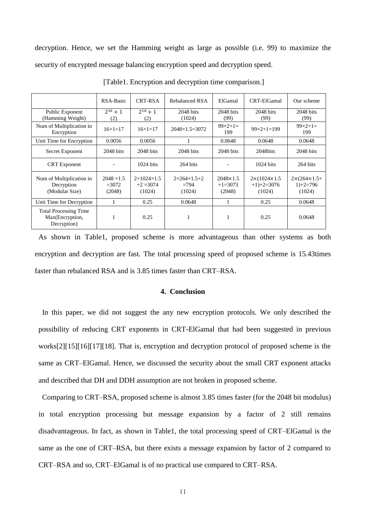decryption. Hence, we set the Hamming weight as large as possible (i.e. 99) to maximize the security of encrypted message balancing encryption speed and decryption speed.

|                                                                | RSA-Basic                              | <b>CRT-RSA</b>                                | Rebalanced RSA                                          | ElGamal                                  | CRT-ElGamal                                      | Our scheme                                           |
|----------------------------------------------------------------|----------------------------------------|-----------------------------------------------|---------------------------------------------------------|------------------------------------------|--------------------------------------------------|------------------------------------------------------|
| Public Exponent                                                | $2^{16}+1$                             | $\sqrt{2^{16}+1}$                             | $2048$ bits                                             | $2048$ bits                              | $2048$ bits                                      | $2048$ bits                                          |
| (Hamming Weight)                                               | (2)                                    | (2)                                           | (1024)                                                  | (99)                                     | (99)                                             | (99)                                                 |
| Num of Multiplication in<br>Encryption                         | $16+1=17$                              | $16+1=17$                                     | $2048 \times 1.5 = 3072$                                | $99 \times 2 + 1 =$<br>199               | $99 \times 2 + 1 = 199$                          | $99 \times 2 + 1 =$<br>199                           |
| Unit Time for Encryption                                       | 0.0056                                 | 0.0056                                        |                                                         | 0.0648                                   | 0.0648                                           | 0.0648                                               |
| Secret Exponent                                                | $2048$ bits                            | $2048$ bits                                   | $2048$ bits                                             | $2048$ bits                              | 2048bits                                         | $2048$ bits                                          |
| <b>CRT</b> Exponent                                            |                                        | $1024 \text{ bits}$                           | 264 bits                                                |                                          | $1024$ bits                                      | 264 bits                                             |
| Num of Multiplication in<br>Decryption<br>(Modular Size)       | $2048 \times 1.5$<br>$=3072$<br>(2048) | $2\times1024\times1.5$<br>$+2=3074$<br>(1024) | $2 \times 264 \times 1.5 + 2$<br>$\equiv$ 794<br>(1024) | $2048 \times 1.5$<br>$+1=3073$<br>(2048) | $2\times(1024\times1.5$<br>$+1+2=3076$<br>(1024) | $2 \times (264 \times 1.5 +$<br>$1)+2=796$<br>(1024) |
| Unit Time for Decryption                                       |                                        | 0.25                                          | 0.0648                                                  |                                          | 0.25                                             | 0.0648                                               |
| <b>Total Processing Time</b><br>Max(Encryption,<br>Decryption) |                                        | 0.25                                          |                                                         |                                          | 0.25                                             | 0.0648                                               |

[Table1. Encryption and decryption time comparison.]

As shown in Table1, proposed scheme is more advantageous than other systems as both encryption and decryption are fast. The total processing speed of proposed scheme is 15.43times faster than rebalanced RSA and is 3.85 times faster than CRT–RSA.

#### **4. Conclusion**

In this paper, we did not suggest the any new encryption protocols. We only described the possibility of reducing CRT exponents in CRT-ElGamal that had been suggested in previous works[2][15][16][17][18]. That is, encryption and decryption protocol of proposed scheme is the same as CRT–ElGamal. Hence, we discussed the security about the small CRT exponent attacks and described that DH and DDH assumption are not broken in proposed scheme.

Comparing to CRT–RSA, proposed scheme is almost 3.85 times faster (for the 2048 bit modulus) in total encryption processing but message expansion by a factor of 2 still remains disadvantageous. In fact, as shown in Table1, the total processing speed of CRT–ElGamal is the same as the one of CRT–RSA, but there exists a message expansion by factor of 2 compared to CRT–RSA and so, CRT–ElGamal is of no practical use compared to CRT–RSA.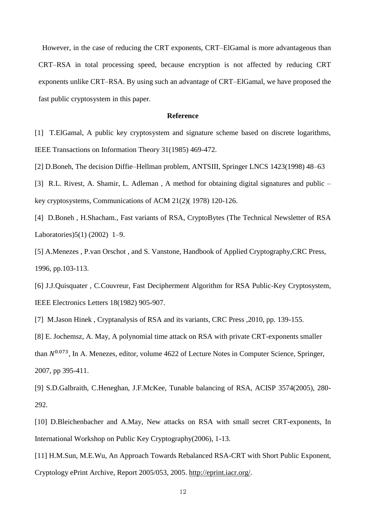However, in the case of reducing the CRT exponents, CRT–ElGamal is more advantageous than CRT–RSA in total processing speed, because encryption is not affected by reducing CRT exponents unlike CRT–RSA. By using such an advantage of CRT–ElGamal, we have proposed the fast public cryptosystem in this paper.

#### **Reference**

[1] T.ElGamal, A public key cryptosystem and signature scheme based on discrete logarithms, IEEE Transactions on Information Theory 31(1985) 469-472.

[2] D.Boneh, The decision Diffie–Hellman problem, ANTSIII, Springer LNCS 1423(1998) 48–63

[3] R.L. Rivest, A. Shamir, L. Adleman , A method for obtaining digital signatures and public – key cryptosystems, Communications of ACM 21(2)( 1978) 120-126.

[4] D.Boneh , H.Shacham., Fast variants of RSA, CryptoBytes (The Technical Newsletter of RSA Laboratories)5(1) (2002) 1–9.

[5] A.Menezes , P.van Orschot , and S. Vanstone, Handbook of Applied Cryptography,CRC Press, 1996, pp.103-113.

[6] J.J.Quisquater , C.Couvreur, Fast Decipherment Algorithm for RSA Public-Key Cryptosystem, IEEE Electronics Letters 18(1982) 905-907.

[7] M.Jason Hinek , Cryptanalysis of RSA and its variants, CRC Press ,2010, pp. 139-155.

[8] E. Jochemsz, A. May, A polynomial time attack on RSA with private CRT-exponents smaller than  $N^{0.073}$ , In A. Menezes, editor, volume 4622 of Lecture Notes in Computer Science, Springer, 2007, pp 395-411.

[9] S.D.Galbraith, C.Heneghan, J.F.McKee, Tunable balancing of RSA, ACISP 3574(2005), 280- 292.

[10] D.Bleichenbacher and A.May, New attacks on RSA with small secret CRT-exponents, In International Workshop on Public Key Cryptography(2006), 1-13.

[11] H.M.Sun, M.E.Wu, An Approach Towards Rebalanced RSA-CRT with Short Public Exponent, Cryptology ePrint Archive, Report 2005/053, 2005. [http://eprint.iacr.org/.](http://eprint.iacr.org/)

12